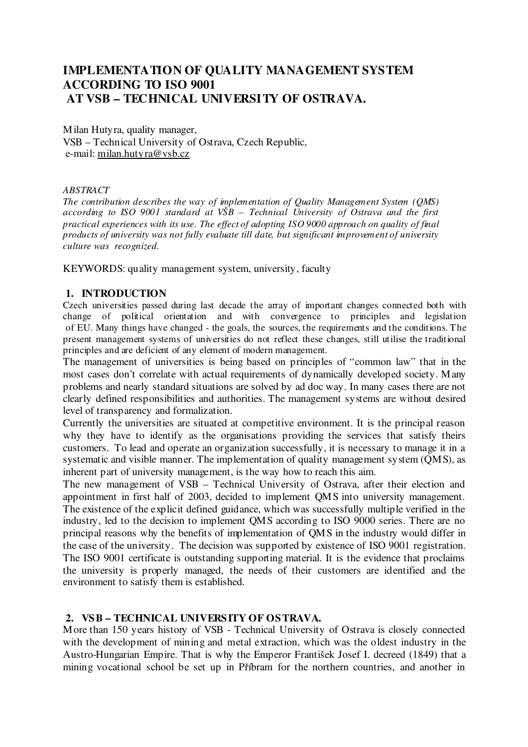# **IMPLEMENTATION OF QUALITY MANAGEMENT SYSTEM ACCORDING TO ISO 9001 AT VSB – TECHNICAL UNIVERSITY OF OSTRAVA.**

Milan Hutyra, quality manager, VSB – Technical University of Ostrava, Czech Republic, e-mail: milan.hutyra@vsb.cz

#### *ABSTRACT*

*The contribution describes the way of implementation of Quality Management System (QMS) according to ISO 9001 standard at VŠB – Technical University of Ostrava and the first practical experiences with its use. The effect of adopting ISO 9000 approach on quality of final products of university was not fully evaluate till date, but significant improvement of university culture was recognized.*

KEYWORDS: quality management system, university, faculty

## **1. INTRODUCTION**

Czech universities passed during last decade the array of important changes connected both with change of political orientation and with convergence to principles and legislation of EU. Many things have changed - the goals, the sources, the requirements and the conditions. The present management systems of universities do not reflect these changes, still utilise the traditional principles and are deficient of any element of modern management.

The management of universities is being based on principles of "common law" that in the most cases don't correlate with actual requirements of dynamically developed society. Many problems and nearly standard situations are solved by ad doc way. In many cases there are not clearly defined responsibilities and authorities. The management systems are without desired level of transparency and formalization.

Currently the universities are situated at competitive environment. It is the principal reason why they have to identify as the organisations providing the services that satisfy theirs customers. To lead and operate an organization successfully, it is necessary to manage it in a systematic and visible manner. The implementation of quality management system (QMS), as inherent part of university management, is the way how to reach this aim.

The new management of VSB – Technical University of Ostrava, after their election and appointment in first half of 2003, decided to implement QMS into university management. The existence of the explicit defined guidance, which was successfully multiple verified in the industry, led to the decision to implement QMS according to ISO 9000 series. There are no principal reasons why the benefits of implementation of QMS in the industry would differ in the case of the university. The decision was supported by existence of ISO 9001 registration. The ISO 9001 certificate is outstanding supporting material. It is the evidence that proclaims the university is properly managed, the needs of their customers are identified and the environment to satisfy them is established.

#### **2. VSB – TECHNICAL UNIVERSITY OF OSTRAVA.**

More than 150 years history of VSB - Technical University of Ostrava is closely connected with the development of mining and metal extraction, which was the oldest industry in the Austro-Hungarian Empire. That is why the Emperor František Josef I. decreed (1849) that a mining vocational school be set up in Píbram for the northern countries, and another in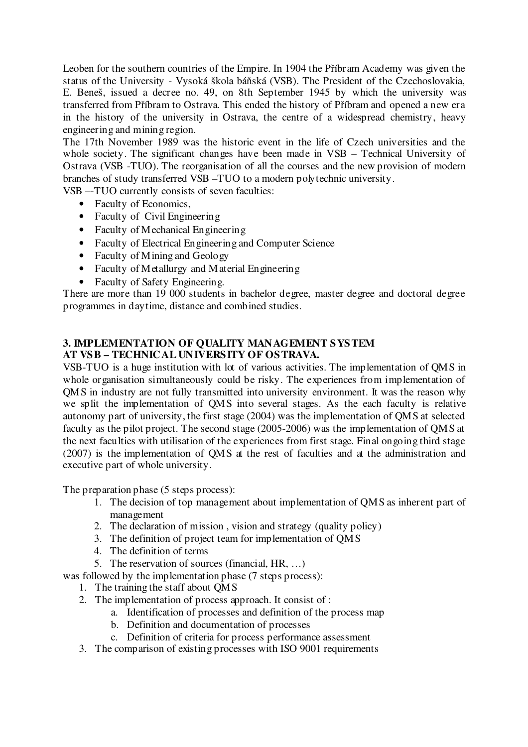Leoben for the southern countries of the Empire. In 1904 the Příbram Academy was given the status of the University - Vysoká škola báňská (VSB). The President of the Czechoslovakia, E. Beneš, issued a decree no. 49, on 8th September 1945 by which the university was transferred from Příbram to Ostrava. This ended the history of Příbram and opened a new era in the history of the university in Ostrava, the centre of a widespread chemistry, heavy engineering and mining region.

The 17th November 1989 was the historic event in the life of Czech universities and the whole society. The significant changes have been made in VSB – Technical University of Ostrava (VSB -TUO). The reorganisation of all the courses and the new provision of modern branches of study transferred VSB –TUO to a modern polytechnic university.

VSB –-TUO currently consists of seven faculties:

- Faculty of Economics,
- Faculty of Civil Engineering
- Faculty of Mechanical Engineering
- Faculty of Electrical Engineering and Computer Science
- Faculty of Mining and Geology
- Faculty of Metallurgy and Material Engineering
- Faculty of Safety Engineering.

There are more than 19 000 students in bachelor degree, master degree and doctoral degree programmes in daytime, distance and combined studies.

## **3. IMPLEMENTATION OF QUALITY MANAGEMENT SYSTEM AT VSB – TECHNICAL UNIVERSITY OF OSTRAVA.**

VSB-TUO is a huge institution with lot of various activities. The implementation of QMS in whole organisation simultaneously could be risky. The experiences from implementation of QMS in industry are not fully transmitted into university environment. It was the reason why we split the implementation of QMS into several stages. As the each faculty is relative autonomy part of university, the first stage (2004) was the implementation of QMS at selected faculty as the pilot project. The second stage (2005-2006) was the implementation of QMS at the next faculties with utilisation of the experiences from first stage. Final ongoing third stage (2007) is the implementation of QMS at the rest of faculties and at the administration and executive part of whole university.

The preparation phase (5 steps process):

- 1. The decision of top management about implementation of QMS as inherent part of management
- 2. The declaration of mission , vision and strategy (quality policy)
- 3. The definition of project team for implementation of QMS
- 4. The definition of terms
- 5. The reservation of sources (financial, HR, …)
- was followed by the implementation phase (7 steps process):

1. The training the staff about QMS

- 2. The implementation of process approach. It consist of :
	- a. Identification of processes and definition of the process map
	- b. Definition and documentation of processes
	- c. Definition of criteria for process performance assessment
- 3. The comparison of existing processes with ISO 9001 requirements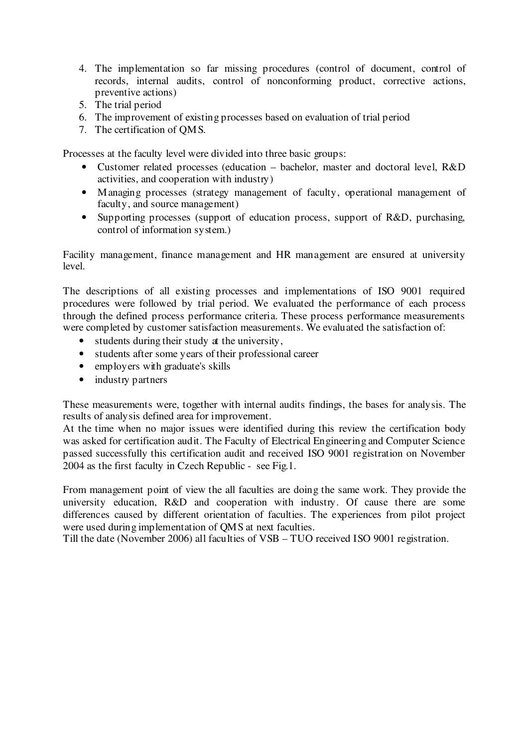- 4. The implementation so far missing procedures (control of document, control of records, internal audits, control of nonconforming product, corrective actions, preventive actions)
- 5. The trial period
- 6. The improvement of existing processes based on evaluation of trial period
- 7. The certification of QMS.

Processes at the faculty level were divided into three basic groups:

- Customer related processes (education bachelor, master and doctoral level, R&D activities, and cooperation with industry)
- Managing processes (strategy management of faculty, operational management of faculty, and source management)
- Supporting processes (support of education process, support of R&D, purchasing, control of information system.)

Facility management, finance management and HR management are ensured at university level.

The descriptions of all existing processes and implementations of ISO 9001 required procedures were followed by trial period. We evaluated the performance of each process through the defined process performance criteria. These process performance measurements were completed by customer satisfaction measurements. We evaluated the satisfaction of:

- students during their study at the university,
- students after some years of their professional career
- employers with graduate's skills
- industry partners

These measurements were, together with internal audits findings, the bases for analysis. The results of analysis defined area for improvement.

At the time when no major issues were identified during this review the certification body was asked for certification audit. The Faculty of Electrical Engineering and Computer Science passed successfully this certification audit and received ISO 9001 registration on November 2004 as the first faculty in Czech Republic - see Fig.1.

From management point of view the all faculties are doing the same work. They provide the university education, R&D and cooperation with industry. Of cause there are some differences caused by different orientation of faculties. The experiences from pilot project were used during implementation of QMS at next faculties.

Till the date (November 2006) all faculties of VSB – TUO received ISO 9001 registration.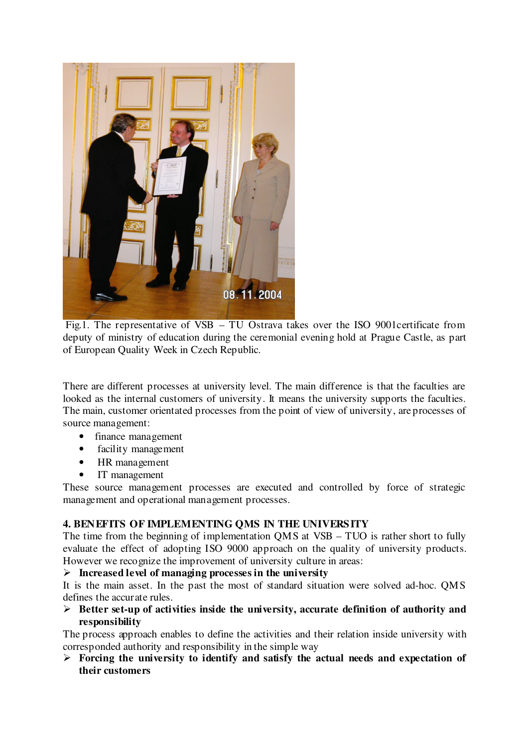

Fig.1. The representative of VSB – TU Ostrava takes over the ISO 9001certificate from deputy of ministry of education during the ceremonial evening hold at Prague Castle, as part of European Quality Week in Czech Republic.

There are different processes at university level. The main difference is that the faculties are looked as the internal customers of university. It means the university supports the faculties. The main, customer orientated processes from the point of view of university, are processes of source management:

- finance management
- facility management
- HR management
- IT management

These source management processes are executed and controlled by force of strategic management and operational management processes.

## **4. BENEFITS OF IMPLEMENTING QMS IN THE UNIVERSITY**

The time from the beginning of implementation QMS at VSB – TUO is rather short to fully evaluate the effect of adopting ISO 9000 approach on the quality of university products. However we recognize the improvement of university culture in areas:

## **Increased level of managing processes in the university**

It is the main asset. In the past the most of standard situation were solved ad-hoc. QMS defines the accurate rules.

 **Better set-up of activities inside the university, accurate definition of authority and responsibility**

The process approach enables to define the activities and their relation inside university with corresponded authority and responsibility in the simple way

 **Forcing the university to identify and satisfy the actual needs and expectation of their customers**